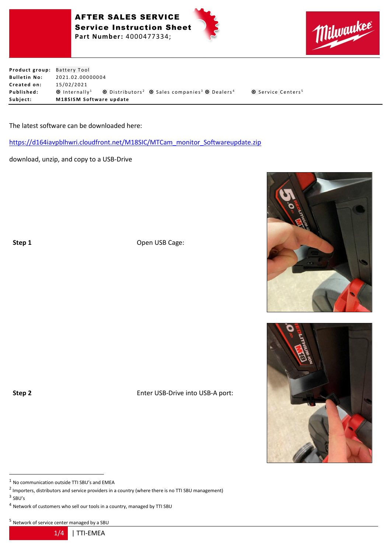





**Product group:** Battery Tool **Bulletin No:** 2021.02.00000004 **C r e a t e d on:** 1 5 / 0 2 / 2 0 2 1 **Published:** © Internally<sup>1</sup> © Distributors<sup>2</sup> © Sales companies<sup>3</sup> © Dealers<sup>4</sup> © Service Centers<sup>5</sup> Subject: **M18SISM** Software update

The latest software can be downloaded here:

[https://d164iavpblhwri.cloudfront.net/M18SIC/MTCam\\_monitor\\_Softwareupdate.zip](https://d164iavpblhwri.cloudfront.net/M18SIC/MTCam_monitor_Softwareupdate.zip)

download, unzip, and copy to a USB-Drive

**Step 1** Open USB Cage:

**Step 2** Enter USB-Drive into USB-A port:

 $1$  No communication outside TTI SBU's and EMEA

 $^2$  Importers, distributors and service providers in a country (where there is no TTI SBU management)

 $3$  SBU's

<sup>4</sup> Network of customers who sell our tools in a country, managed by TTI SBU

<sup>5</sup> Network of service center managed by a SBU



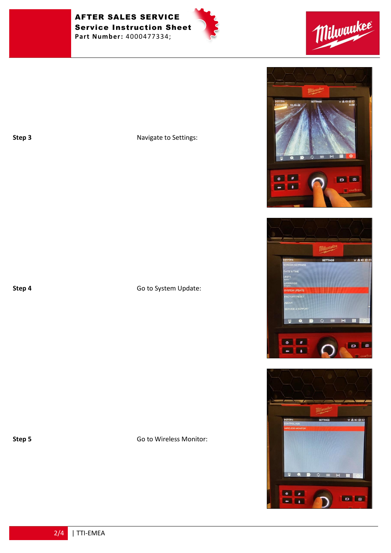AFTER SALES SERVICE Service Instruction Sheet **Part Number:** 4000477334;







**Step 3** Navigate to Settings:

**Step 4** Go to System Update:

**Step 5** Go to Wireless Monitor:







2/4 | TTI-EMEA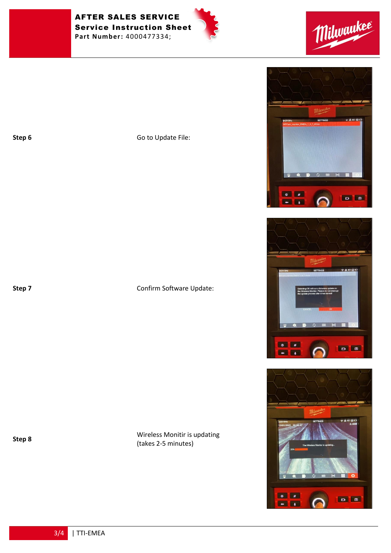AFTER SALES SERVICE Service Instruction Sheet **Part Number:** 4000477334;





**Step 6** Go to Update File:

## **Step 7** Confirm Software Update:

**Step 8** Wireless Monitir is updating (takes 2-5 minutes)